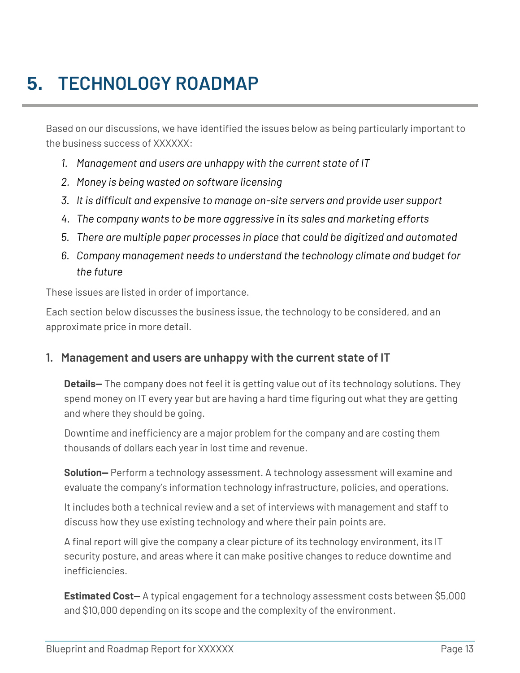# **5. TECHNOLOGY ROADMAP**

Based on our discussions, we have identified the issues below as being particularly important to the business success of XXXXXX:

- *1. Management and users are unhappy with the current state of IT*
- *2. Money is being wasted on software licensing*
- *3. It is difficult and expensive to manage on-site servers and provide user support*
- *4. The company wants to be more aggressive in its sales and marketing efforts*
- *5. There are multiple paper processes in place that could be digitized and automated*
- *6. Company management needs to understand the technology climate and budget for the future*

These issues are listed in order of importance.

Each section below discusses the business issue, the technology to be considered, and an approximate price in more detail.

#### **1. Management and users are unhappy with the current state of IT**

**Details—** The company does not feel it is getting value out of its technology solutions. They spend money on IT every year but are having a hard time figuring out what they are getting and where they should be going.

Downtime and inefficiency are a major problem for the company and are costing them thousands of dollars each year in lost time and revenue.

**Solution—** Perform a technology assessment. A technology assessment will examine and evaluate the company's information technology infrastructure, policies, and operations.

It includes both a technical review and a set of interviews with management and staff to discuss how they use existing technology and where their pain points are.

A final report will give the company a clear picture of its technology environment, its IT security posture, and areas where it can make positive changes to reduce downtime and inefficiencies.

**Estimated Cost—** A typical engagement for a technology assessment costs between \$5,000 and \$10,000 depending on its scope and the complexity of the environment.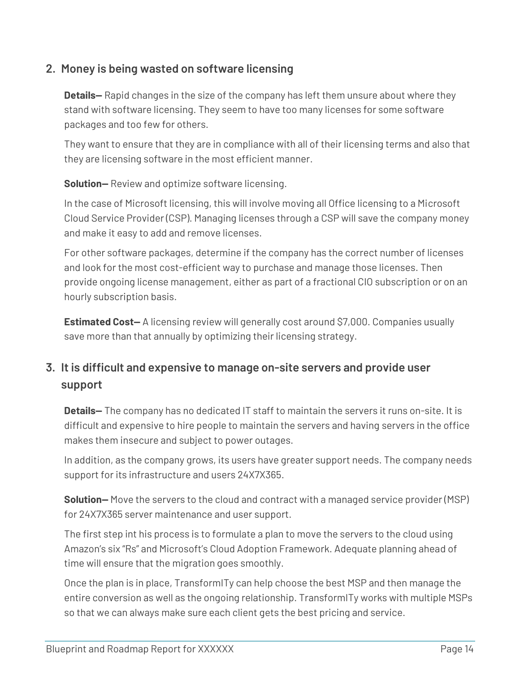#### **2. Money is being wasted on software licensing**

**Details—** Rapid changes in the size of the company has left them unsure about where they stand with software licensing. They seem to have too many licenses for some software packages and too few for others.

They want to ensure that they are in compliance with all of their licensing terms and also that they are licensing software in the most efficient manner.

**Solution—** Review and optimize software licensing.

In the case of Microsoft licensing, this will involve moving all Office licensing to a Microsoft Cloud Service Provider (CSP). Managing licenses through a CSP will save the company money and make it easy to add and remove licenses.

For other software packages, determine if the company has the correct number of licenses and look for the most cost-efficient way to purchase and manage those licenses. Then provide ongoing license management, either as part of a fractional CIO subscription or on an hourly subscription basis.

**Estimated Cost-** A licensing review will generally cost around \$7,000. Companies usually save more than that annually by optimizing their licensing strategy.

# **3. It is difficult and expensive to manage on-site servers and provide user support**

**Details—** The company has no dedicated IT staff to maintain the servers it runs on-site. It is difficult and expensive to hire people to maintain the servers and having servers in the office makes them insecure and subject to power outages.

In addition, as the company grows, its users have greater support needs. The company needs support for its infrastructure and users 24X7X365.

**Solution—** Move the servers to the cloud and contract with a managed service provider (MSP) for 24X7X365 server maintenance and user support.

The first step int his process is to formulate a plan to move the servers to the cloud using Amazon's six "Rs" and Microsoft's Cloud Adoption Framework. Adequate planning ahead of time will ensure that the migration goes smoothly.

Once the plan is in place, TransformITy can help choose the best MSP and then manage the entire conversion as well as the ongoing relationship. TransformITy works with multiple MSPs so that we can always make sure each client gets the best pricing and service.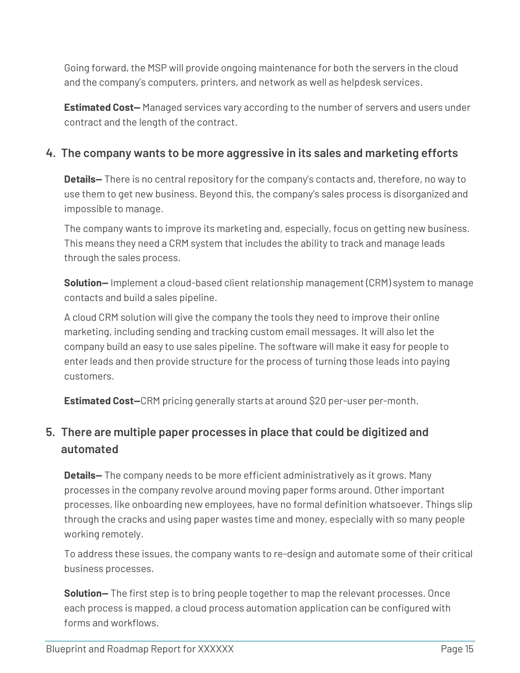Going forward, the MSP will provide ongoing maintenance for both the servers in the cloud and the company's computers, printers, and network as well as helpdesk services.

**Estimated Cost—** Managed services vary according to the number of servers and users under contract and the length of the contract.

#### **4. The company wants to be more aggressive in its sales and marketing efforts**

**Details—** There is no central repository for the company's contacts and, therefore, no way to use them to get new business. Beyond this, the company's sales process is disorganized and impossible to manage.

The company wants to improve its marketing and, especially, focus on getting new business. This means they need a CRM system that includes the ability to track and manage leads through the sales process.

**Solution—** Implement a cloud-based client relationship management (CRM) system to manage contacts and build a sales pipeline.

A cloud CRM solution will give the company the tools they need to improve their online marketing, including sending and tracking custom email messages. It will also let the company build an easy to use sales pipeline. The software will make it easy for people to enter leads and then provide structure for the process of turning those leads into paying customers.

**Estimated Cost—**CRM pricing generally starts at around \$20 per-user per-month.

### **5. There are multiple paper processes in place that could be digitized and automated**

**Details—** The company needs to be more efficient administratively as it grows. Many processes in the company revolve around moving paper forms around. Other important processes, like onboarding new employees, have no formal definition whatsoever. Things slip through the cracks and using paper wastes time and money, especially with so many people working remotely.

To address these issues, the company wants to re-design and automate some of their critical business processes.

**Solution—** The first step is to bring people together to map the relevant processes. Once each process is mapped, a cloud process automation application can be configured with forms and workflows.